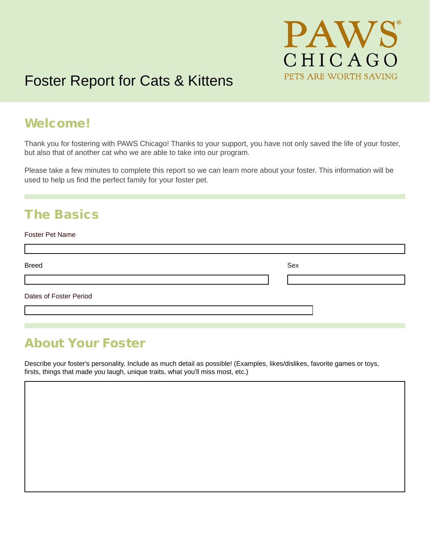

# Foster Report for Cats & Kittens

### Welcome!

Thank you for fostering with PAWS Chicago! Thanks to your support, you have not only saved the life of your foster, but also that of another cat who we are able to take into our program.

Please take a few minutes to complete this report so we can learn more about your foster. This information will be used to help us find the perfect family for your foster pet.

## The Basics

#### Foster Pet Name

| <b>Breed</b>           | Sex |
|------------------------|-----|
|                        |     |
| Dates of Foster Period |     |
|                        |     |

### About Your Foster

Describe your foster's personality. Include as much detail as possible! (Examples, likes/dislikes, favorite games or toys, firsts, things that made you laugh, unique traits, what you'll miss most, etc.)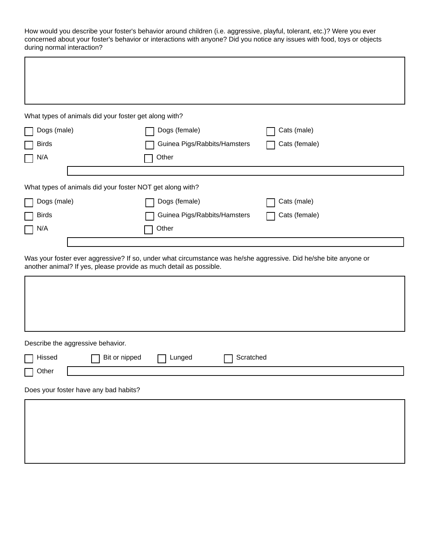How would you describe your foster's behavior around children (i.e. aggressive, playful, tolerant, etc.)? Were you ever concerned about your foster's behavior or interactions with anyone? Did you notice any issues with food, toys or objects during normal interaction?

| What types of animals did your foster get along with?                                                                                                                                  |                              |               |  |  |  |
|----------------------------------------------------------------------------------------------------------------------------------------------------------------------------------------|------------------------------|---------------|--|--|--|
| Dogs (male)                                                                                                                                                                            | Dogs (female)<br>Cats (male) |               |  |  |  |
| <b>Birds</b>                                                                                                                                                                           | Guinea Pigs/Rabbits/Hamsters | Cats (female) |  |  |  |
| N/A                                                                                                                                                                                    | Other                        |               |  |  |  |
|                                                                                                                                                                                        |                              |               |  |  |  |
| What types of animals did your foster NOT get along with?                                                                                                                              |                              |               |  |  |  |
| Dogs (male)                                                                                                                                                                            | Dogs (female)                | Cats (male)   |  |  |  |
| <b>Birds</b>                                                                                                                                                                           | Guinea Pigs/Rabbits/Hamsters | Cats (female) |  |  |  |
| N/A                                                                                                                                                                                    | Other                        |               |  |  |  |
|                                                                                                                                                                                        |                              |               |  |  |  |
| Was your foster ever aggressive? If so, under what circumstance was he/she aggressive. Did he/she bite anyone or<br>another animal? If yes, please provide as much detail as possible. |                              |               |  |  |  |
|                                                                                                                                                                                        |                              |               |  |  |  |
|                                                                                                                                                                                        |                              |               |  |  |  |
|                                                                                                                                                                                        |                              |               |  |  |  |
|                                                                                                                                                                                        |                              |               |  |  |  |
| Describe the aggressive behavior.                                                                                                                                                      |                              |               |  |  |  |
| Bit or nipped<br>Hissed                                                                                                                                                                | Scratched<br>Lunged          |               |  |  |  |
| Other<br>ᆸ                                                                                                                                                                             |                              |               |  |  |  |
| Does your foster have any bad habits?                                                                                                                                                  |                              |               |  |  |  |
|                                                                                                                                                                                        |                              |               |  |  |  |
|                                                                                                                                                                                        |                              |               |  |  |  |
|                                                                                                                                                                                        |                              |               |  |  |  |
|                                                                                                                                                                                        |                              |               |  |  |  |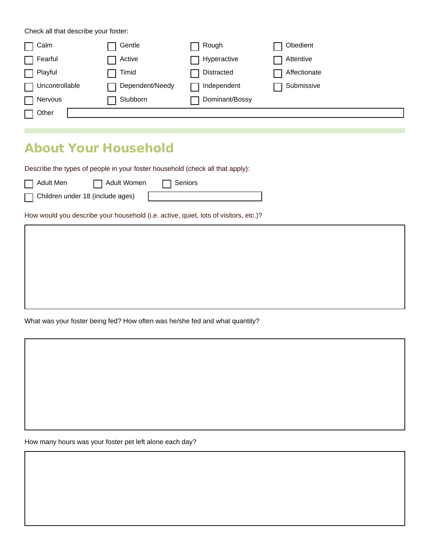Check all that describe your foster:

| $\sqcap$ Calm  | Gentle          | Rough          | Obedient     |
|----------------|-----------------|----------------|--------------|
| Fearful        | Active          | Hyperactive    | Attentive    |
| Playful        | Timid           | Distracted     | Affectionate |
| Uncontrollable | Dependent/Needy | Independent    | Submissive   |
| Nervous        | Stubborn        | Dominant/Bossy |              |
| $\sqcap$ Other |                 |                |              |

## About Your Household

Describe the types of people in your foster household (check all that apply):

| l ⊟ Adult Men | □ Adult Wo |
|---------------|------------|
|               |            |

П

Children under 18 (include ages)

omen  $\Box$  Seniors

How would you describe your household (i.e. active, quiet, lots of visitors, etc.)?

What was your foster being fed? How often was he/she fed and what quantity?

How many hours was your foster pet left alone each day?